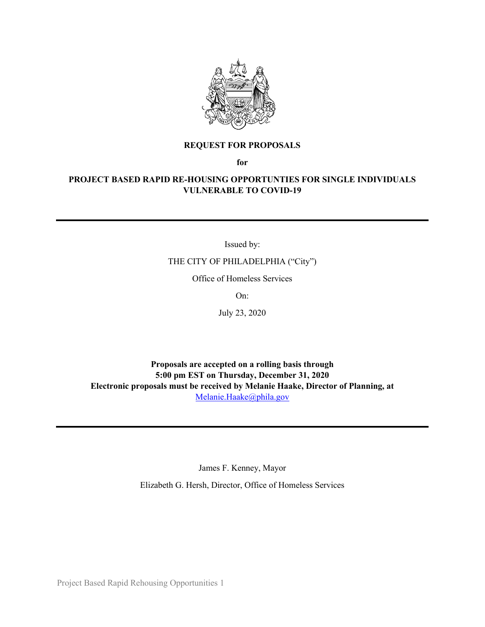

#### **REQUEST FOR PROPOSALS**

**for**

#### **PROJECT BASED RAPID RE-HOUSING OPPORTUNTIES FOR SINGLE INDIVIDUALS VULNERABLE TO COVID-19**

Issued by:

THE CITY OF PHILADELPHIA ("City")

Office of Homeless Services

On:

July 23, 2020

**Proposals are accepted on a rolling basis through 5:00 pm EST on Thursday, December 31, 2020 Electronic proposals must be received by Melanie Haake, Director of Planning, at**  [Melanie.Haake@phila.gov](mailto:Melanie.Haake@phila.gov)

James F. Kenney, Mayor

Elizabeth G. Hersh, Director, Office of Homeless Services

Project Based Rapid Rehousing Opportunities 1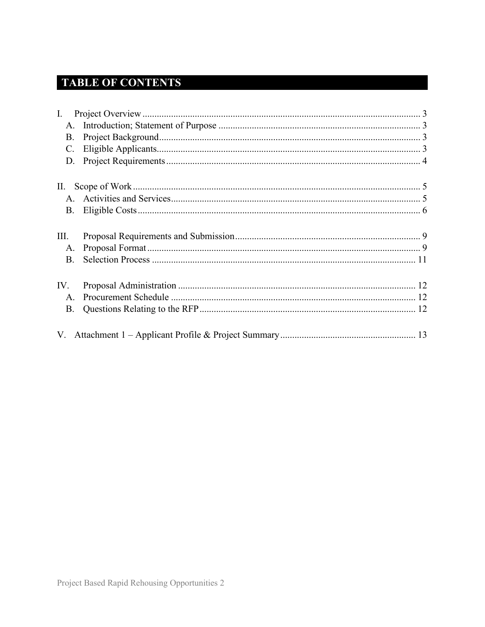# **TABLE OF CONTENTS**

| $\mathbf{I}$ . |  |
|----------------|--|
| A.             |  |
| <b>B.</b>      |  |
| $\mathbf{C}$ . |  |
| D.             |  |
| П.             |  |
|                |  |
| <b>B.</b>      |  |
| III.           |  |
| A.             |  |
| <b>B.</b>      |  |
| IV.            |  |
| A.             |  |
| Β.             |  |
|                |  |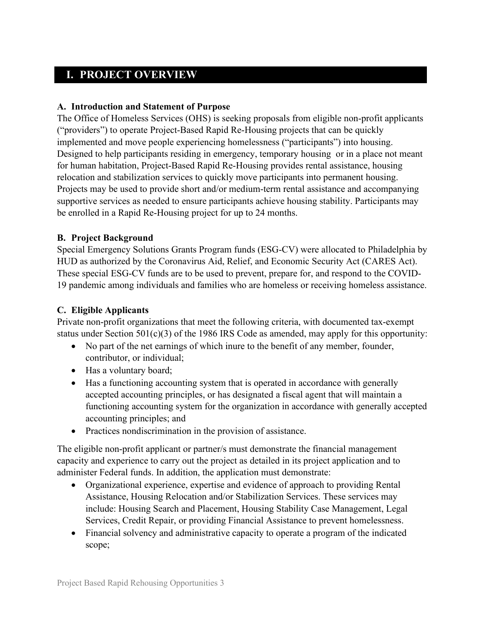### <span id="page-2-0"></span>**I. PROJECT OVERVIEW**

#### <span id="page-2-1"></span>**A. Introduction and Statement of Purpose**

The Office of Homeless Services (OHS) is seeking proposals from eligible non-profit applicants ("providers") to operate Project-Based Rapid Re-Housing projects that can be quickly implemented and move people experiencing homelessness ("participants") into housing. Designed to help participants residing in emergency, temporary housing or in a place not meant for human habitation, Project-Based Rapid Re-Housing provides rental assistance, housing relocation and stabilization services to quickly move participants into permanent housing. Projects may be used to provide short and/or medium-term rental assistance and accompanying supportive services as needed to ensure participants achieve housing stability. Participants may be enrolled in a Rapid Re-Housing project for up to 24 months.

#### <span id="page-2-2"></span>**B. Project Background**

Special Emergency Solutions Grants Program funds (ESG-CV) were allocated to Philadelphia by HUD as authorized by the Coronavirus Aid, Relief, and Economic Security Act (CARES Act). These special ESG-CV funds are to be used to prevent, prepare for, and respond to the COVID-19 pandemic among individuals and families who are homeless or receiving homeless assistance.

#### <span id="page-2-3"></span>**C. Eligible Applicants**

Private non-profit organizations that meet the following criteria, with documented tax-exempt status under Section  $501(c)(3)$  of the 1986 IRS Code as amended, may apply for this opportunity:

- No part of the net earnings of which inure to the benefit of any member, founder, contributor, or individual;
- Has a voluntary board;
- Has a functioning accounting system that is operated in accordance with generally accepted accounting principles, or has designated a fiscal agent that will maintain a functioning accounting system for the organization in accordance with generally accepted accounting principles; and
- Practices nondiscrimination in the provision of assistance.

The eligible non-profit applicant or partner/s must demonstrate the financial management capacity and experience to carry out the project as detailed in its project application and to administer Federal funds. In addition, the application must demonstrate:

- Organizational experience, expertise and evidence of approach to providing Rental Assistance, Housing Relocation and/or Stabilization Services. These services may include: Housing Search and Placement, Housing Stability Case Management, Legal Services, Credit Repair, or providing Financial Assistance to prevent homelessness.
- Financial solvency and administrative capacity to operate a program of the indicated scope;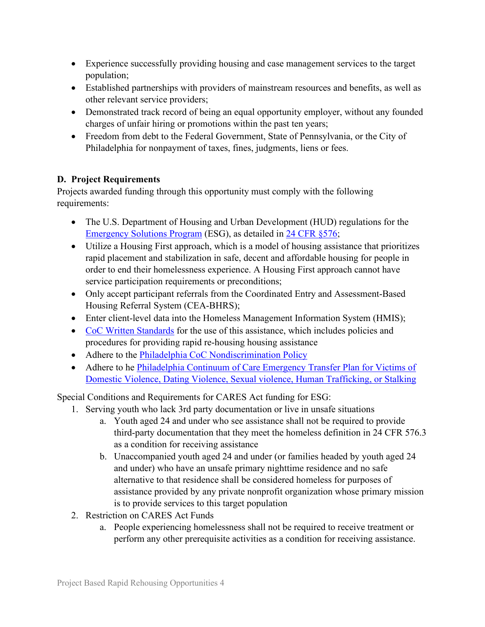- Experience successfully providing housing and case management services to the target population;
- Established partnerships with providers of mainstream resources and benefits, as well as other relevant service providers;
- Demonstrated track record of being an equal opportunity employer, without any founded charges of unfair hiring or promotions within the past ten years;
- Freedom from debt to the Federal Government, State of Pennsylvania, or the City of Philadelphia for nonpayment of taxes, fines, judgments, liens or fees.

### <span id="page-3-0"></span>**D. Project Requirements**

Projects awarded funding through this opportunity must comply with the following requirements:

- The U.S. Department of Housing and Urban Development (HUD) regulations for the [Emergency Solutions Program](https://www.hudexchange.info/programs/esg/esg-law-regulations-and-notices/#laws) (ESG), as detailed in [24 CFR §576;](https://www.govinfo.gov/content/pkg/CFR-2018-title24-vol3/xml/CFR-2018-title24-vol3-part576.xml#seqnum576.409)
- Utilize a Housing First approach, which is a model of housing assistance that prioritizes rapid placement and stabilization in safe, decent and affordable housing for people in order to end their homelessness experience. A Housing First approach cannot have service participation requirements or preconditions;
- Only accept participant referrals from the Coordinated Entry and Assessment-Based Housing Referral System (CEA-BHRS);
- Enter client-level data into the Homeless Management Information System (HMIS);
- CoC [Written Standards](http://philadelphiaofficeofhomelessservices.org/wp-content/uploads/2018/09/Standards-for-Providing-Assistance-Under-ESG-and-CoC-Programs0D0A-REVISED-August-2018-for-posting.pdf) for the use of this assistance, which includes policies and procedures for providing rapid re-housing housing assistance
- Adhere to the [Philadelphia CoC Nondiscrimination Policy](http://philadelphiaofficeofhomelessservices.org/wp-content/uploads/2017/12/scanned-signed-board-approved-nondiscrimination-policy.pdf)
- Adhere to he Philadelphia Continuum of Care Emergency Transfer Plan for Victims of [Domestic Violence, Dating Violence, Sexual violence, Human Trafficking, or Stalking](http://philadelphiaofficeofhomelessservices.org/wp-content/uploads/2018/09/Philadelphia-CoC-Emergency-Transfer-Plan-for-posting.pdf)

Special Conditions and Requirements for CARES Act funding for ESG:

- 1. Serving youth who lack 3rd party documentation or live in unsafe situations
	- a. Youth aged 24 and under who see assistance shall not be required to provide third-party documentation that they meet the homeless definition in 24 CFR 576.3 as a condition for receiving assistance
	- b. Unaccompanied youth aged 24 and under (or families headed by youth aged 24 and under) who have an unsafe primary nighttime residence and no safe alternative to that residence shall be considered homeless for purposes of assistance provided by any private nonprofit organization whose primary mission is to provide services to this target population
- 2. Restriction on CARES Act Funds
	- a. People experiencing homelessness shall not be required to receive treatment or perform any other prerequisite activities as a condition for receiving assistance.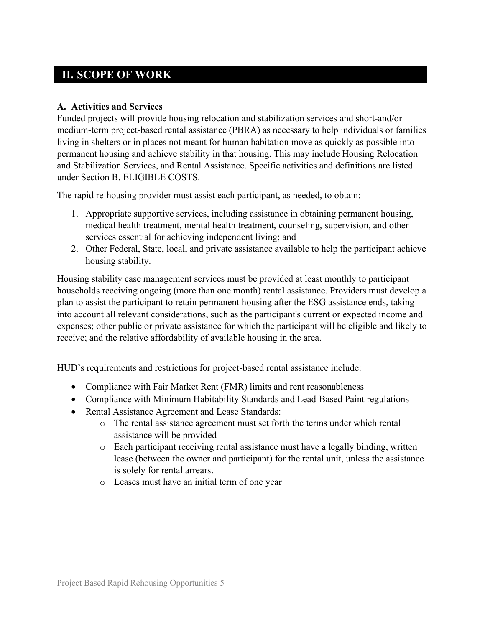## <span id="page-4-0"></span>**II. SCOPE OF WORK**

#### <span id="page-4-1"></span>**A. Activities and Services**

Funded projects will provide housing relocation and stabilization services and short-and/or medium-term project-based rental assistance (PBRA) as necessary to help individuals or families living in shelters or in places not meant for human habitation move as quickly as possible into permanent housing and achieve stability in that housing. This may include Housing Relocation and Stabilization Services, and Rental Assistance. Specific activities and definitions are listed under Section B. ELIGIBLE COSTS.

The rapid re-housing provider must assist each participant, as needed, to obtain:

- 1. Appropriate supportive services, including assistance in obtaining permanent housing, medical health treatment, mental health treatment, counseling, supervision, and other services essential for achieving independent living; and
- 2. Other Federal, State, local, and private assistance available to help the participant achieve housing stability.

Housing stability case management services must be provided at least monthly to participant households receiving ongoing (more than one month) rental assistance. Providers must develop a plan to assist the participant to retain permanent housing after the ESG assistance ends, taking into account all relevant considerations, such as the participant's current or expected income and expenses; other public or private assistance for which the participant will be eligible and likely to receive; and the relative affordability of available housing in the area.

HUD's requirements and restrictions for project-based rental assistance include:

- Compliance with Fair Market Rent (FMR) limits and rent reasonableness
- Compliance with Minimum Habitability Standards and Lead-Based Paint regulations
- Rental Assistance Agreement and Lease Standards:
	- o The rental assistance agreement must set forth the terms under which rental assistance will be provided
	- o Each participant receiving rental assistance must have a legally binding, written lease (between the owner and participant) for the rental unit, unless the assistance is solely for rental arrears.
	- o Leases must have an initial term of one year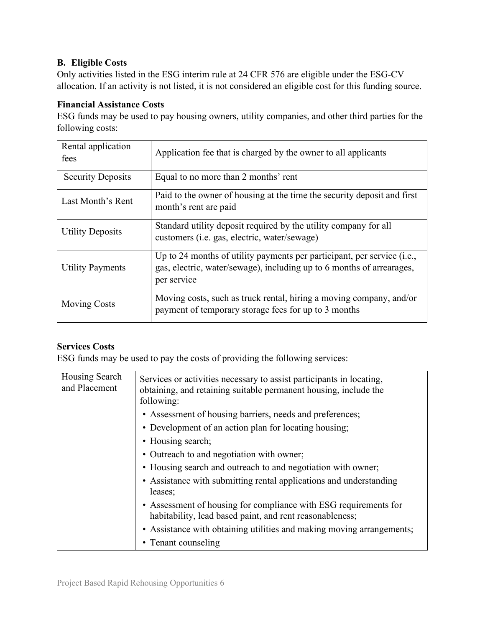### <span id="page-5-0"></span>**B. Eligible Costs**

Only activities listed in the ESG interim rule at 24 CFR 576 are eligible under the ESG-CV allocation. If an activity is not listed, it is not considered an eligible cost for this funding source.

#### **Financial Assistance Costs**

ESG funds may be used to pay housing owners, utility companies, and other third parties for the following costs:

| Rental application<br>fees | Application fee that is charged by the owner to all applicants                                                                                                  |  |
|----------------------------|-----------------------------------------------------------------------------------------------------------------------------------------------------------------|--|
| <b>Security Deposits</b>   | Equal to no more than 2 months' rent                                                                                                                            |  |
| Last Month's Rent          | Paid to the owner of housing at the time the security deposit and first<br>month's rent are paid                                                                |  |
| <b>Utility Deposits</b>    | Standard utility deposit required by the utility company for all<br>customers ( <i>i.e.</i> gas, electric, water/sewage)                                        |  |
| <b>Utility Payments</b>    | Up to 24 months of utility payments per participant, per service (i.e.,<br>gas, electric, water/sewage), including up to 6 months of arrearages,<br>per service |  |
| <b>Moving Costs</b>        | Moving costs, such as truck rental, hiring a moving company, and/or<br>payment of temporary storage fees for up to 3 months                                     |  |

### **Services Costs**

ESG funds may be used to pay the costs of providing the following services:

| Housing Search<br>and Placement | Services or activities necessary to assist participants in locating,<br>obtaining, and retaining suitable permanent housing, include the<br>following: |
|---------------------------------|--------------------------------------------------------------------------------------------------------------------------------------------------------|
|                                 | • Assessment of housing barriers, needs and preferences;                                                                                               |
|                                 | • Development of an action plan for locating housing;                                                                                                  |
|                                 | • Housing search;                                                                                                                                      |
|                                 | • Outreach to and negotiation with owner;                                                                                                              |
|                                 | • Housing search and outreach to and negotiation with owner;                                                                                           |
|                                 | • Assistance with submitting rental applications and understanding<br>leases;                                                                          |
|                                 | • Assessment of housing for compliance with ESG requirements for<br>habitability, lead based paint, and rent reasonableness;                           |
|                                 | • Assistance with obtaining utilities and making moving arrangements;                                                                                  |
|                                 | • Tenant counseling                                                                                                                                    |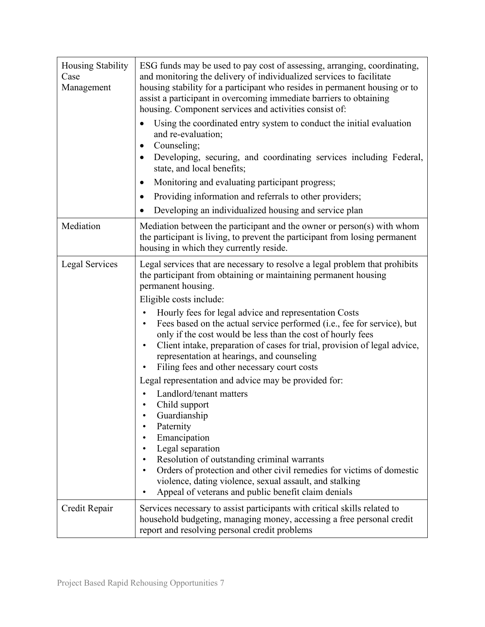| Housing Stability<br>Case<br>Management | ESG funds may be used to pay cost of assessing, arranging, coordinating,<br>and monitoring the delivery of individualized services to facilitate<br>housing stability for a participant who resides in permanent housing or to<br>assist a participant in overcoming immediate barriers to obtaining<br>housing. Component services and activities consist of:<br>Using the coordinated entry system to conduct the initial evaluation<br>and re-evaluation;<br>Counseling;<br>Developing, securing, and coordinating services including Federal,<br>state, and local benefits;<br>Monitoring and evaluating participant progress;<br>Providing information and referrals to other providers;<br>$\bullet$                                                                                                                                                                                                                                                                                  |
|-----------------------------------------|---------------------------------------------------------------------------------------------------------------------------------------------------------------------------------------------------------------------------------------------------------------------------------------------------------------------------------------------------------------------------------------------------------------------------------------------------------------------------------------------------------------------------------------------------------------------------------------------------------------------------------------------------------------------------------------------------------------------------------------------------------------------------------------------------------------------------------------------------------------------------------------------------------------------------------------------------------------------------------------------|
|                                         | Developing an individualized housing and service plan<br>٠                                                                                                                                                                                                                                                                                                                                                                                                                                                                                                                                                                                                                                                                                                                                                                                                                                                                                                                                  |
| Mediation                               | Mediation between the participant and the owner or person(s) with whom<br>the participant is living, to prevent the participant from losing permanent<br>housing in which they currently reside.                                                                                                                                                                                                                                                                                                                                                                                                                                                                                                                                                                                                                                                                                                                                                                                            |
| Legal Services                          | Legal services that are necessary to resolve a legal problem that prohibits<br>the participant from obtaining or maintaining permanent housing<br>permanent housing.<br>Eligible costs include:<br>Hourly fees for legal advice and representation Costs<br>Fees based on the actual service performed (i.e., fee for service), but<br>only if the cost would be less than the cost of hourly fees<br>Client intake, preparation of cases for trial, provision of legal advice,<br>representation at hearings, and counseling<br>Filing fees and other necessary court costs<br>Legal representation and advice may be provided for:<br>Landlord/tenant matters<br>Child support<br>Guardianship<br>Paternity<br>Emancipation<br>Legal separation<br>Resolution of outstanding criminal warrants<br>Orders of protection and other civil remedies for victims of domestic<br>violence, dating violence, sexual assault, and stalking<br>Appeal of veterans and public benefit claim denials |
| Credit Repair                           | Services necessary to assist participants with critical skills related to<br>household budgeting, managing money, accessing a free personal credit<br>report and resolving personal credit problems                                                                                                                                                                                                                                                                                                                                                                                                                                                                                                                                                                                                                                                                                                                                                                                         |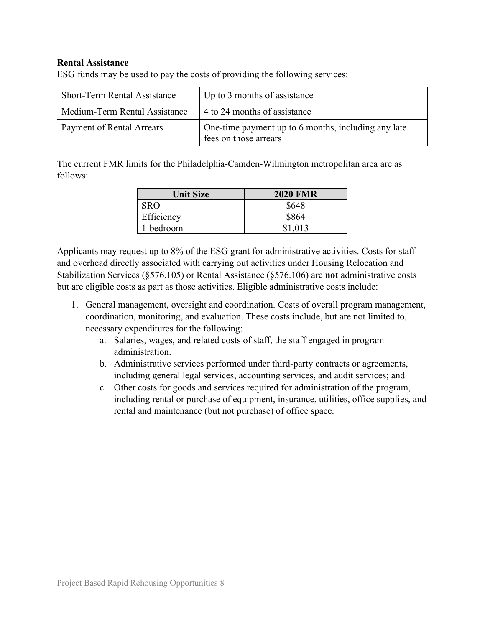#### **Rental Assistance**

ESG funds may be used to pay the costs of providing the following services:

| <b>Short-Term Rental Assistance</b> | Up to 3 months of assistance                                                 |  |
|-------------------------------------|------------------------------------------------------------------------------|--|
| l Medium-Term Rental Assistance     | 4 to 24 months of assistance                                                 |  |
| <b>Payment of Rental Arrears</b>    | One-time payment up to 6 months, including any late<br>fees on those arrears |  |

The current FMR limits for the Philadelphia-Camden-Wilmington metropolitan area are as follows:

| <b>Unit Size</b> | <b>2020 FMR</b> |
|------------------|-----------------|
| <b>SRO</b>       | \$648           |
| Efficiency       | \$864           |
| 1-bedroom        | \$1,013         |

Applicants may request up to 8% of the ESG grant for administrative activities. Costs for staff and overhead directly associated with carrying out activities under Housing Relocation and Stabilization Services (§576.105) or Rental Assistance (§576.106) are **not** administrative costs but are eligible costs as part as those activities. Eligible administrative costs include:

- 1. General management, oversight and coordination. Costs of overall program management, coordination, monitoring, and evaluation. These costs include, but are not limited to, necessary expenditures for the following:
	- a. Salaries, wages, and related costs of staff, the staff engaged in program administration.
	- b. Administrative services performed under third-party contracts or agreements, including general legal services, accounting services, and audit services; and
	- c. Other costs for goods and services required for administration of the program, including rental or purchase of equipment, insurance, utilities, office supplies, and rental and maintenance (but not purchase) of office space.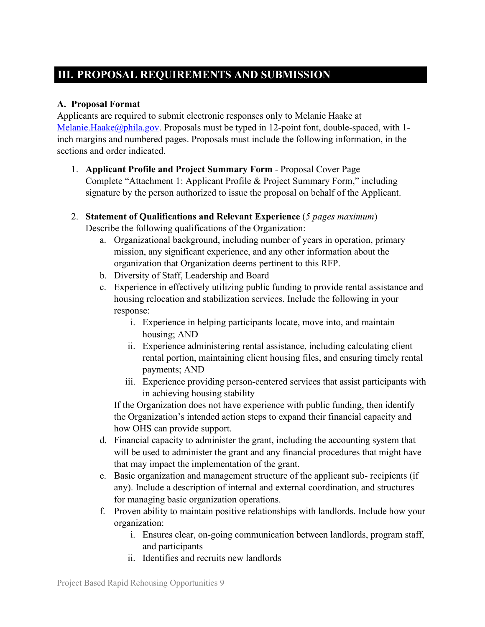# <span id="page-8-0"></span>**III. PROPOSAL REQUIREMENTS AND SUBMISSION**

### <span id="page-8-1"></span>**A. Proposal Format**

Applicants are required to submit electronic responses only to Melanie Haake at Melanie.Haake $\omega$ phila.gov. Proposals must be typed in 12-point font, double-spaced, with 1inch margins and numbered pages. Proposals must include the following information, in the sections and order indicated.

- 1. **Applicant Profile and Project Summary Form** Proposal Cover Page Complete "Attachment 1: Applicant Profile & Project Summary Form," including signature by the person authorized to issue the proposal on behalf of the Applicant.
- 2. **Statement of Qualifications and Relevant Experience** (*5 pages maximum*) Describe the following qualifications of the Organization:
	- a. Organizational background, including number of years in operation, primary mission, any significant experience, and any other information about the organization that Organization deems pertinent to this RFP.
	- b. Diversity of Staff, Leadership and Board
	- c. Experience in effectively utilizing public funding to provide rental assistance and housing relocation and stabilization services. Include the following in your response:
		- i. Experience in helping participants locate, move into, and maintain housing; AND
		- ii. Experience administering rental assistance, including calculating client rental portion, maintaining client housing files, and ensuring timely rental payments; AND
		- iii. Experience providing person-centered services that assist participants with in achieving housing stability

If the Organization does not have experience with public funding, then identify the Organization's intended action steps to expand their financial capacity and how OHS can provide support.

- d. Financial capacity to administer the grant, including the accounting system that will be used to administer the grant and any financial procedures that might have that may impact the implementation of the grant.
- e. Basic organization and management structure of the applicant sub- recipients (if any). Include a description of internal and external coordination, and structures for managing basic organization operations.
- f. Proven ability to maintain positive relationships with landlords. Include how your organization:
	- i. Ensures clear, on-going communication between landlords, program staff, and participants
	- ii. Identifies and recruits new landlords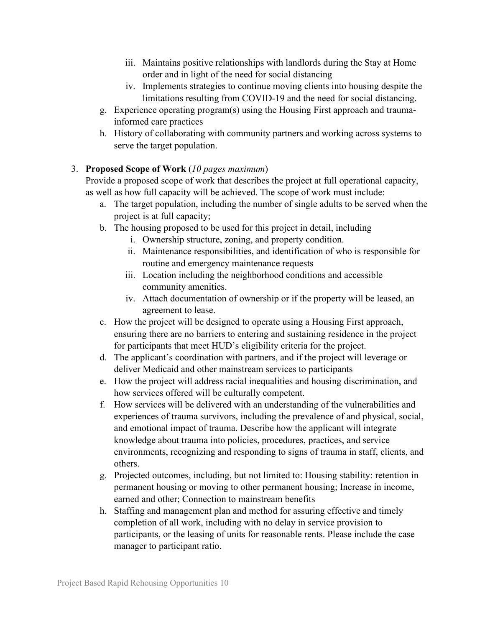- iii. Maintains positive relationships with landlords during the Stay at Home order and in light of the need for social distancing
- iv. Implements strategies to continue moving clients into housing despite the limitations resulting from COVID-19 and the need for social distancing.
- g. Experience operating program(s) using the Housing First approach and traumainformed care practices
- h. History of collaborating with community partners and working across systems to serve the target population.

### 3. **Proposed Scope of Work** (*10 pages maximum*)

Provide a proposed scope of work that describes the project at full operational capacity, as well as how full capacity will be achieved. The scope of work must include:

- a. The target population, including the number of single adults to be served when the project is at full capacity;
- b. The housing proposed to be used for this project in detail, including
	- i. Ownership structure, zoning, and property condition.
	- ii. Maintenance responsibilities, and identification of who is responsible for routine and emergency maintenance requests
	- iii. Location including the neighborhood conditions and accessible community amenities.
	- iv. Attach documentation of ownership or if the property will be leased, an agreement to lease.
- c. How the project will be designed to operate using a Housing First approach, ensuring there are no barriers to entering and sustaining residence in the project for participants that meet HUD's eligibility criteria for the project.
- d. The applicant's coordination with partners, and if the project will leverage or deliver Medicaid and other mainstream services to participants
- e. How the project will address racial inequalities and housing discrimination, and how services offered will be culturally competent.
- f. How services will be delivered with an understanding of the vulnerabilities and experiences of trauma survivors, including the prevalence of and physical, social, and emotional impact of trauma. Describe how the applicant will integrate knowledge about trauma into policies, procedures, practices, and service environments, recognizing and responding to signs of trauma in staff, clients, and others.
- g. Projected outcomes, including, but not limited to: Housing stability: retention in permanent housing or moving to other permanent housing; Increase in income, earned and other; Connection to mainstream benefits
- h. Staffing and management plan and method for assuring effective and timely completion of all work, including with no delay in service provision to participants, or the leasing of units for reasonable rents. Please include the case manager to participant ratio.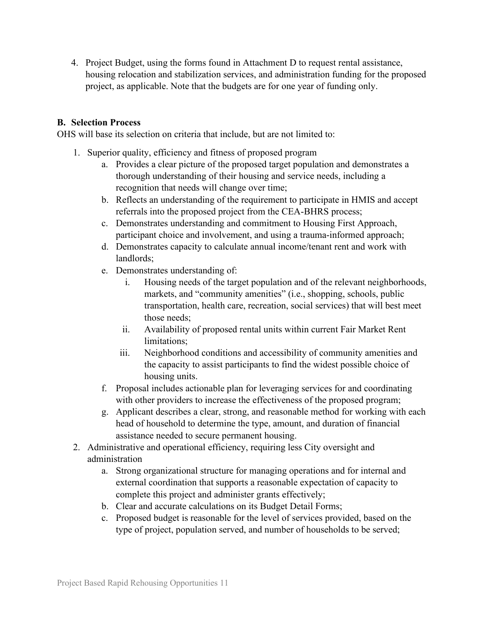4. Project Budget, using the forms found in Attachment D to request rental assistance, housing relocation and stabilization services, and administration funding for the proposed project, as applicable. Note that the budgets are for one year of funding only.

#### <span id="page-10-0"></span>**B. Selection Process**

OHS will base its selection on criteria that include, but are not limited to:

- 1. Superior quality, efficiency and fitness of proposed program
	- a. Provides a clear picture of the proposed target population and demonstrates a thorough understanding of their housing and service needs, including a recognition that needs will change over time;
	- b. Reflects an understanding of the requirement to participate in HMIS and accept referrals into the proposed project from the CEA-BHRS process;
	- c. Demonstrates understanding and commitment to Housing First Approach, participant choice and involvement, and using a trauma-informed approach;
	- d. Demonstrates capacity to calculate annual income/tenant rent and work with landlords;
	- e. Demonstrates understanding of:
		- i. Housing needs of the target population and of the relevant neighborhoods, markets, and "community amenities" (i.e., shopping, schools, public transportation, health care, recreation, social services) that will best meet those needs;
		- ii. Availability of proposed rental units within current Fair Market Rent limitations;
		- iii. Neighborhood conditions and accessibility of community amenities and the capacity to assist participants to find the widest possible choice of housing units.
	- f. Proposal includes actionable plan for leveraging services for and coordinating with other providers to increase the effectiveness of the proposed program;
	- g. Applicant describes a clear, strong, and reasonable method for working with each head of household to determine the type, amount, and duration of financial assistance needed to secure permanent housing.
- 2. Administrative and operational efficiency, requiring less City oversight and administration
	- a. Strong organizational structure for managing operations and for internal and external coordination that supports a reasonable expectation of capacity to complete this project and administer grants effectively;
	- b. Clear and accurate calculations on its Budget Detail Forms;
	- c. Proposed budget is reasonable for the level of services provided, based on the type of project, population served, and number of households to be served;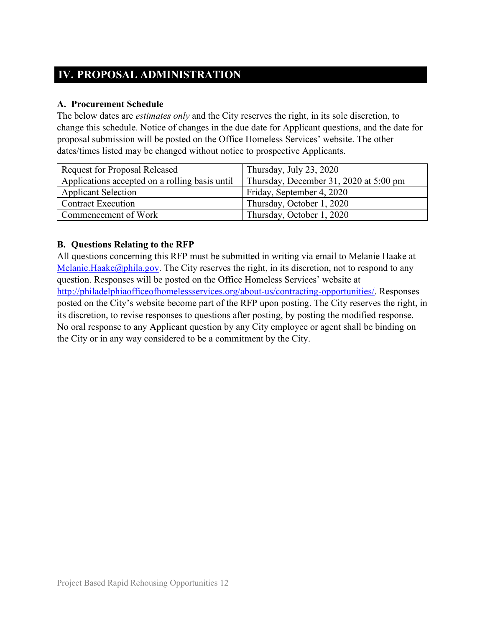# <span id="page-11-0"></span>**IV. PROPOSAL ADMINISTRATION**

### <span id="page-11-1"></span>**A. Procurement Schedule**

The below dates are *estimates only* and the City reserves the right, in its sole discretion, to change this schedule. Notice of changes in the due date for Applicant questions, and the date for proposal submission will be posted on the Office Homeless Services' website. The other dates/times listed may be changed without notice to prospective Applicants.

| <b>Request for Proposal Released</b>           | Thursday, July 23, 2020                |  |
|------------------------------------------------|----------------------------------------|--|
| Applications accepted on a rolling basis until | Thursday, December 31, 2020 at 5:00 pm |  |
| <b>Applicant Selection</b>                     | Friday, September 4, 2020              |  |
| <b>Contract Execution</b>                      | Thursday, October 1, 2020              |  |
| Commencement of Work                           | Thursday, October 1, 2020              |  |

### <span id="page-11-2"></span>**B. Questions Relating to the RFP**

All questions concerning this RFP must be submitted in writing via email to Melanie Haake at [Melanie.Haake@phila.gov.](mailto:Melanie.Haake@phila.gov) The City reserves the right, in its discretion, not to respond to any question. Responses will be posted on the Office Homeless Services' website at [http://philadelphiaofficeofhomelessservices.org/about-us/contracting-opportunities/.](http://philadelphiaofficeofhomelessservices.org/about-us/contracting-opportunities/) Responses posted on the City's website become part of the RFP upon posting. The City reserves the right, in its discretion, to revise responses to questions after posting, by posting the modified response. No oral response to any Applicant question by any City employee or agent shall be binding on the City or in any way considered to be a commitment by the City.